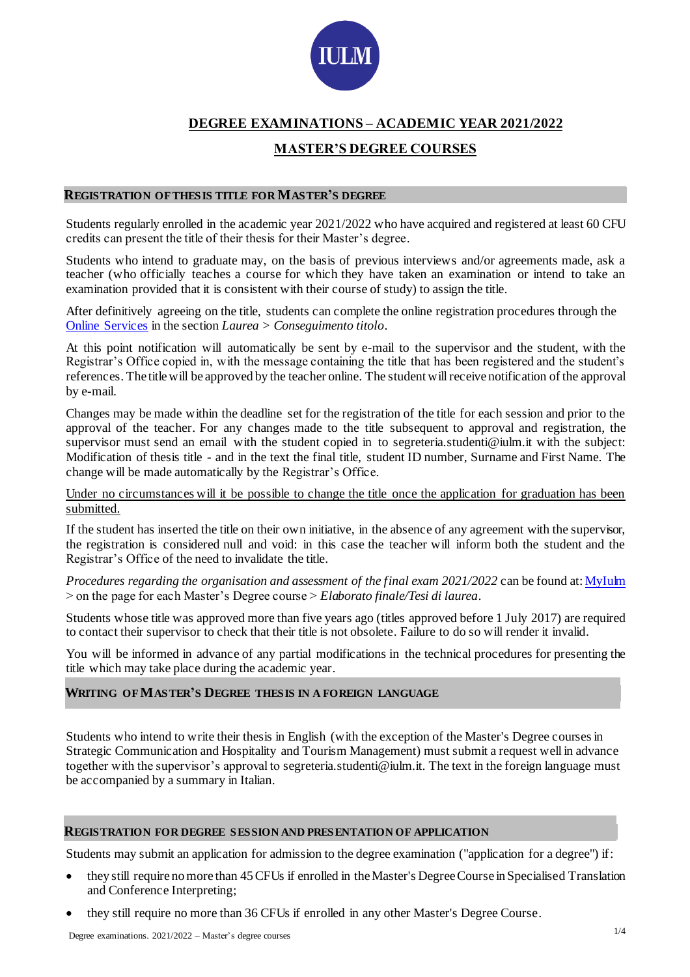

# **DEGREE EXAMINATIONS – ACADEMIC YEAR 2021/2022**

## **MASTER'S DEGREE COURSES**

#### **REGISTRATION OF THESIS TITLE FOR MASTER'S DEGREE**

Students regularly enrolled in the academic year 2021/2022 who have acquired and registered at least 60 CFU credits can present the title of their thesis for their Master's degree.

Students who intend to graduate may, on the basis of previous interviews and/or agreements made, ask a teacher (who officially teaches a course for which they have taken an examination or intend to take an examination provided that it is consistent with their course of study) to assign the title.

After definitively agreeing on the title, students can complete the online registration procedures through the [Online Services](https://servizionline.iulm.it/Home.do) in the section *Laurea > Conseguimento titolo*.

At this point notification will automatically be sent by e-mail to the supervisor and the student, with the Registrar's Office copied in, with the message containing the title that has been registered and the student's references. The title will be approved by the teacher online. The student will receive notification of the approval by e-mail.

Changes may be made within the deadline set for the registration of the title for each session and prior to the approval of the teacher. For any changes made to the title subsequent to approval and registration, the supervisor must send an email with the student copied in to segreteria.studenti@iulm.it with the subject: Modification of thesis title - and in the text the final title, student ID number, Surname and First Name. The change will be made automatically by the Registrar's Office.

Under no circumstances will it be possible to change the title once the application for graduation has been submitted.

If the student has inserted the title on their own initiative, in the absence of any agreement with the supervisor, the registration is considered null and void: in this case the teacher will inform both the student and the Registrar's Office of the need to invalidate the title.

*Procedures regarding the organisation and assessment of the final exam 2021/2022* can be found at[: MyIulm](https://www.iulm.it/it/myiulm/corsi) > on the page for each Master's Degree course > *Elaborato finale/Tesi di laurea*.

Students whose title was approved more than five years ago (titles approved before 1 July 2017) are required to contact their supervisor to check that their title is not obsolete. Failure to do so will render it invalid.

You will be informed in advance of any partial modifications in the technical procedures for presenting the title which may take place during the academic year.

## **WRITING OF MASTER'S DEGREE THESIS IN A FOREIGN LANGUAGE**

Students who intend to write their thesis in English (with the exception of the Master's Degree courses in Strategic Communication and Hospitality and Tourism Management) must submit a request well in advance together with the supervisor's approval to segreteria.studenti@iulm.it. The text in the foreign language must be accompanied by a summary in Italian.

#### **REGISTRATION FOR DEGREE SESSION AND PRESENTATION OF APPLICATION**

Students may submit an application for admission to the degree examination ("application for a degree") if:

- they still require no more than 45 CFUs if enrolled in the Master's Degree Course in Specialised Translation and Conference Interpreting;
- they still require no more than 36 CFUs if enrolled in any other Master's Degree Course.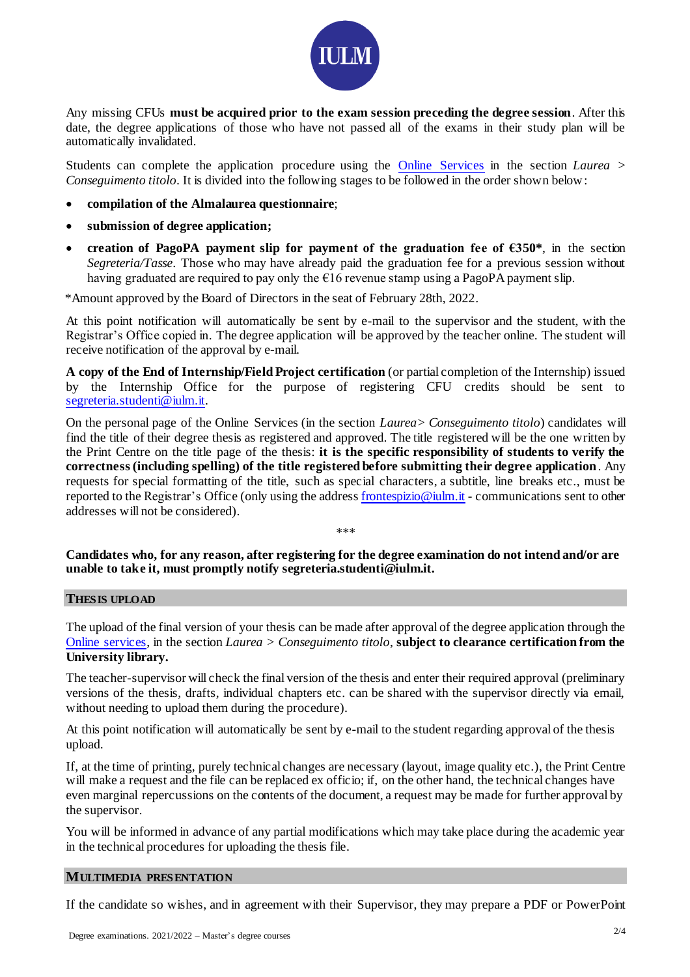

Any missing CFUs **must be acquired prior to the exam session preceding the degree session**. After this date, the degree applications of those who have not passed all of the exams in their study plan will be automatically invalidated.

Students can complete the application procedure using the [Online Services](https://servizionline.iulm.it/Home.do) in the section *Laurea > Conseguimento titolo*. It is divided into the following stages to be followed in the order shown below:

- **compilation of the Almalaurea questionnaire**;
- **submission of degree application;**
- **creation of PagoPA payment slip for payment of the graduation fee of**  $\epsilon$ **350\***, in the section *Segreteria/Tasse*. Those who may have already paid the graduation fee for a previous session without having graduated are required to pay only the  $\epsilon$ 16 revenue stamp using a PagoPA payment slip.

\*Amount approved by the Board of Directors in the seat of February 28th, 2022.

At this point notification will automatically be sent by e-mail to the supervisor and the student, with the Registrar's Office copied in. The degree application will be approved by the teacher online. The student will receive notification of the approval by e-mail.

**A copy of the End of Internship/Field Project certification** (or partial completion of the Internship) issued by the Internship Office for the purpose of registering CFU credits should be sent to [segreteria.studenti@iulm.it.](mailto:segreteria.studenti@iulm.it)

On the personal page of the Online Services (in the section *Laurea> Conseguimento titolo*) candidates will find the title of their degree thesis as registered and approved. The title registered will be the one written by the Print Centre on the title page of the thesis: **it is the specific responsibility of students to verify the correctness (including spelling) of the title registered before submitting their degree application**. Any requests for special formatting of the title, such as special characters, a subtitle, line breaks etc., must be reported to the Registrar's Office (only using the addres[s frontespizio@iulm.it](mailto:frontespizio@iulm.it) - communications sent to other addresses will not be considered).

\*\*\*

**Candidates who, for any reason, after registering for the degree examination do not intend and/or are unable to take it, must promptly notif[y segreteria.studenti@iulm.it.](mailto:segreteria.studenti@iulm.it)**

## **THESIS UPLOAD**

The upload of the final version of your thesis can be made after approval of the degree application through the [Online services,](https://servizionline.iulm.it/Home.do) in the section *Laurea > Conseguimento titolo*, **subject to clearance certification from the University library.**

The teacher-supervisor will check the final version of the thesis and enter their required approval (preliminary versions of the thesis, drafts, individual chapters etc. can be shared with the supervisor directly via email, without needing to upload them during the procedure).

At this point notification will automatically be sent by e-mail to the student regarding approval of the thesis upload.

If, at the time of printing, purely technical changes are necessary (layout, image quality etc.), the Print Centre will make a request and the file can be replaced ex officio; if, on the other hand, the technical changes have even marginal repercussions on the contents of the document, a request may be made for further approval by the supervisor.

You will be informed in advance of any partial modifications which may take place during the academic year in the technical procedures for uploading the thesis file.

## **MULTIMEDIA PRESENTATION**

If the candidate so wishes, and in agreement with their Supervisor, they may prepare a PDF or PowerPoint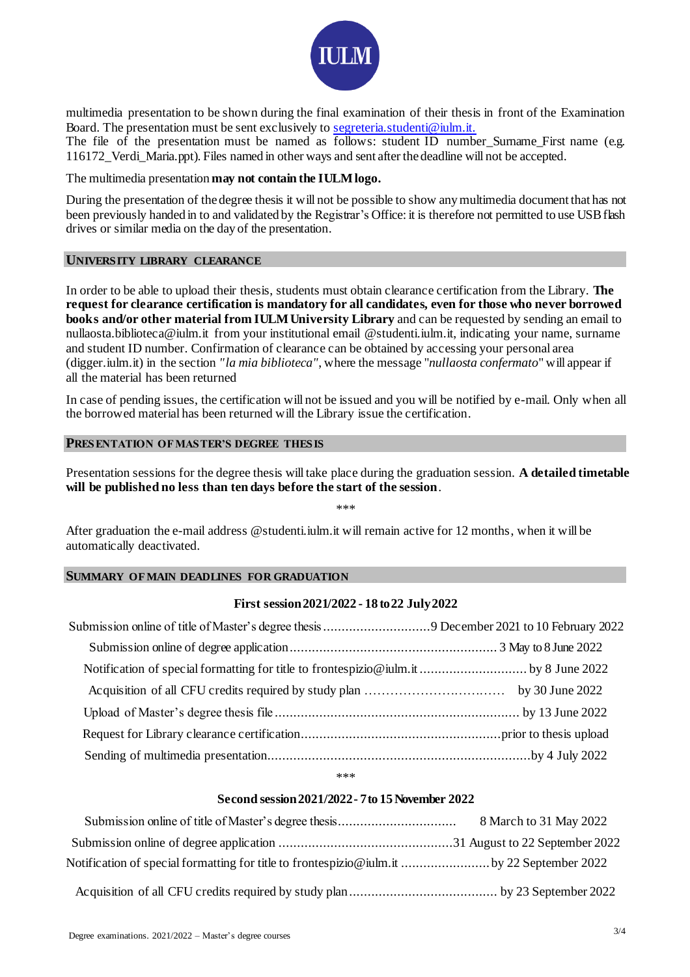

multimedia presentation to be shown during the final examination of their thesis in front of the Examination Board. The presentation must be sent exclusively to [segreteria.studenti@iulm.it.](mailto:segreteria.studenti@iulm.it)

The file of the presentation must be named as follows: student ID number\_Surname\_First name (e.g. 116172\_Verdi\_Maria.ppt). Files named in other ways and sent after the deadline will not be accepted.

#### The multimedia presentation **may not contain the IULM logo.**

During the presentation of the degree thesis it will not be possible to show any multimedia document that has not been previously handed in to and validated by the Registrar's Office: it is therefore not permitted to use USB flash drives or similar media on the day of the presentation.

#### **UNIVERSITY LIBRARY CLEARANCE**

In order to be able to upload their thesis, students must obtain clearance certification from the Library. **The request for clearance certification is mandatory for all candidates, even for those who never borrowed books and/or other material from IULM University Library** and can be requested by sending an email to nullaosta.biblioteca@iulm.it from your institutional email @studenti.iulm.it, indicating your name, surname and student ID number. Confirmation of clearance can be obtained by accessing your personal area (digger.iulm.it) in the section *"la mia biblioteca"*, where the message "*nullaosta confermato*" will appear if all the material has been returned

In case of pending issues, the certification will not be issued and you will be notified by e-mail. Only when all the borrowed material has been returned will the Library issue the certification.

## **PRESENTATION OF MASTER'S DEGREE THESIS**

Presentation sessions for the degree thesis will take place during the graduation session. **A detailed timetable will be published no less than ten days before the start of the session**.

\*\*\*

After graduation the e-mail address @studenti.iulm.it will remain active for 12 months, when it will be automatically deactivated.

### **SUMMARY OF MAIN DEADLINES FOR GRADUATION**

#### **First session2021/2022 - 18 to22 July2022**

| Submission online of title of Master's degree thesis 9 December 2021 to 10 February 2022 |  |
|------------------------------------------------------------------------------------------|--|
|                                                                                          |  |
|                                                                                          |  |
|                                                                                          |  |
|                                                                                          |  |
|                                                                                          |  |
|                                                                                          |  |

\*\*\*

## **Second session2021/2022- 7 to 15November 2022**

| Notification of special formatting for title to frontespizio@iulm.it  by 22 September 2022 |  |
|--------------------------------------------------------------------------------------------|--|
|                                                                                            |  |